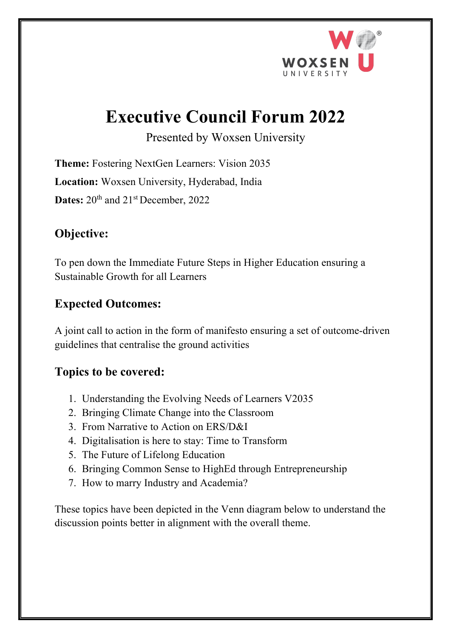

# **Executive Council Forum 2022**

Presented by Woxsen University

**Theme:** Fostering NextGen Learners: Vision 2035 **Location:** Woxsen University, Hyderabad, India Dates:  $20^{th}$  and  $21^{st}$  December, 2022

### **Objective:**

To pen down the Immediate Future Steps in Higher Education ensuring a Sustainable Growth for all Learners

#### **Expected Outcomes:**

A joint call to action in the form of manifesto ensuring a set of outcome-driven guidelines that centralise the ground activities

#### **Topics to be covered:**

- 1. Understanding the Evolving Needs of Learners V2035
- 2. Bringing Climate Change into the Classroom
- 3. From Narrative to Action on ERS/D&I
- 4. Digitalisation is here to stay: Time to Transform
- 5. The Future of Lifelong Education
- 6. Bringing Common Sense to HighEd through Entrepreneurship
- 7. How to marry Industry and Academia?

These topics have been depicted in the Venn diagram below to understand the discussion points better in alignment with the overall theme.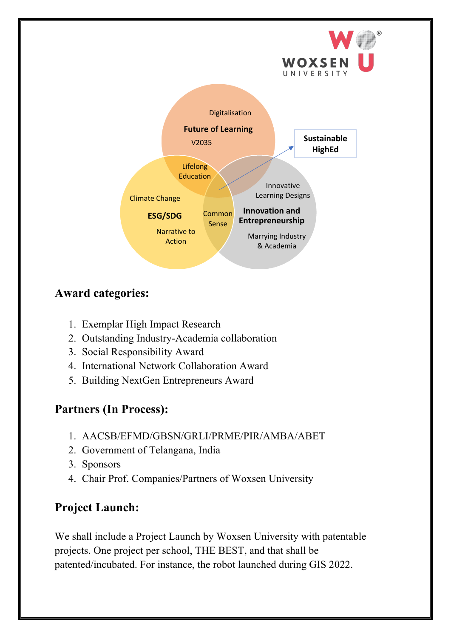

# **Award categories:**

- 1. Exemplar High Impact Research
- 2. Outstanding Industry-Academia collaboration
- 3. Social Responsibility Award
- 4. International Network Collaboration Award
- 5. Building NextGen Entrepreneurs Award

# **Partners (In Process):**

- 1. AACSB/EFMD/GBSN/GRLI/PRME/PIR/AMBA/ABET
- 2. Government of Telangana, India
- 3. Sponsors
- 4. Chair Prof. Companies/Partners of Woxsen University

# **Project Launch:**

We shall include a Project Launch by Woxsen University with patentable projects. One project per school, THE BEST, and that shall be patented/incubated. For instance, the robot launched during GIS 2022.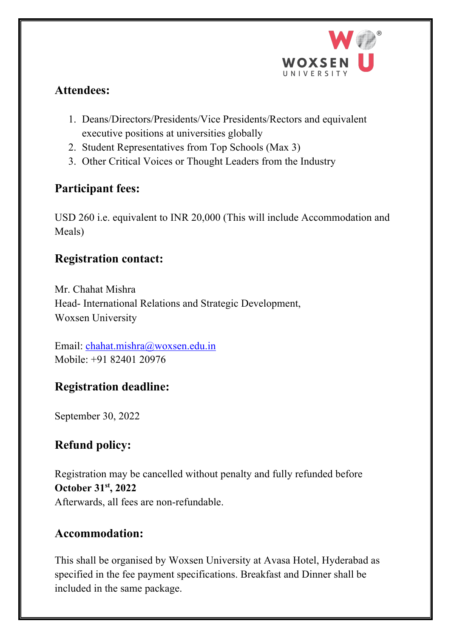

#### **Attendees:**

- 1. Deans/Directors/Presidents/Vice Presidents/Rectors and equivalent executive positions at universities globally
- 2. Student Representatives from Top Schools (Max 3)
- 3. Other Critical Voices or Thought Leaders from the Industry

#### **Participant fees:**

USD 260 i.e. equivalent to INR 20,000 (This will include Accommodation and Meals)

#### **Registration contact:**

Mr. Chahat Mishra Head- International Relations and Strategic Development, Woxsen University

Email: chahat.mishra@woxsen.edu.in Mobile: +91 82401 20976

# **Registration deadline:**

September 30, 2022

# **Refund policy:**

Registration may be cancelled without penalty and fully refunded before **October 31st , 2022** Afterwards, all fees are non-refundable.

#### **Accommodation:**

This shall be organised by Woxsen University at Avasa Hotel, Hyderabad as specified in the fee payment specifications. Breakfast and Dinner shall be included in the same package.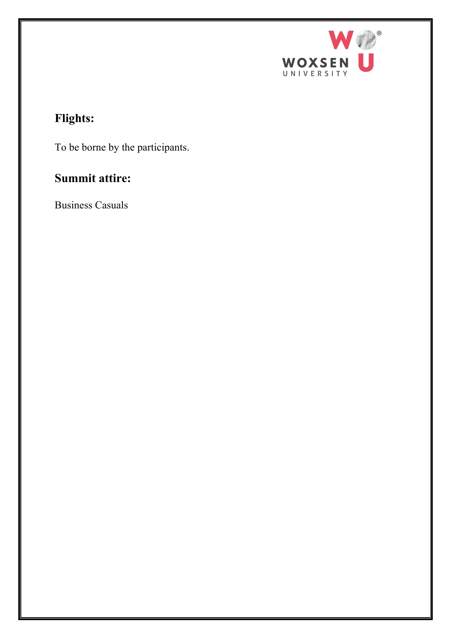

# **Flights:**

To be borne by the participants.

# **Summit attire:**

Business Casuals